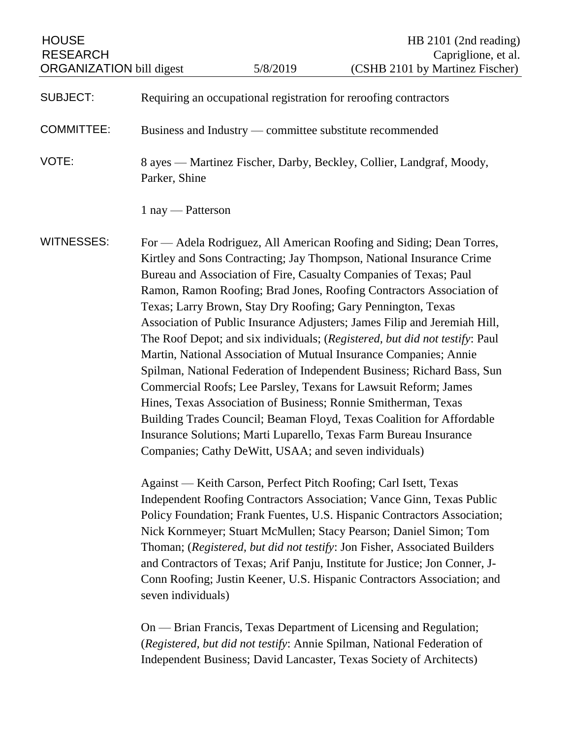| <b>HOUSE</b><br><b>RESEARCH</b><br><b>ORGANIZATION bill digest</b> |                                                                                                                                                                                                                                                                                                                                                                                                                                                                                                                                                                                                                                                                                                                                                                                                                                                                                                                                                                                                                                                                                       | 5/8/2019 | HB 2101 (2nd reading)<br>Capriglione, et al.<br>(CSHB 2101 by Martinez Fischer)                                                                                                                                     |
|--------------------------------------------------------------------|---------------------------------------------------------------------------------------------------------------------------------------------------------------------------------------------------------------------------------------------------------------------------------------------------------------------------------------------------------------------------------------------------------------------------------------------------------------------------------------------------------------------------------------------------------------------------------------------------------------------------------------------------------------------------------------------------------------------------------------------------------------------------------------------------------------------------------------------------------------------------------------------------------------------------------------------------------------------------------------------------------------------------------------------------------------------------------------|----------|---------------------------------------------------------------------------------------------------------------------------------------------------------------------------------------------------------------------|
|                                                                    |                                                                                                                                                                                                                                                                                                                                                                                                                                                                                                                                                                                                                                                                                                                                                                                                                                                                                                                                                                                                                                                                                       |          |                                                                                                                                                                                                                     |
| <b>SUBJECT:</b>                                                    | Requiring an occupational registration for reroofing contractors                                                                                                                                                                                                                                                                                                                                                                                                                                                                                                                                                                                                                                                                                                                                                                                                                                                                                                                                                                                                                      |          |                                                                                                                                                                                                                     |
| <b>COMMITTEE:</b>                                                  | Business and Industry — committee substitute recommended                                                                                                                                                                                                                                                                                                                                                                                                                                                                                                                                                                                                                                                                                                                                                                                                                                                                                                                                                                                                                              |          |                                                                                                                                                                                                                     |
| VOTE:                                                              | 8 ayes — Martinez Fischer, Darby, Beckley, Collier, Landgraf, Moody,<br>Parker, Shine                                                                                                                                                                                                                                                                                                                                                                                                                                                                                                                                                                                                                                                                                                                                                                                                                                                                                                                                                                                                 |          |                                                                                                                                                                                                                     |
|                                                                    | $1$ nay — Patterson                                                                                                                                                                                                                                                                                                                                                                                                                                                                                                                                                                                                                                                                                                                                                                                                                                                                                                                                                                                                                                                                   |          |                                                                                                                                                                                                                     |
| <b>WITNESSES:</b>                                                  | For — Adela Rodriguez, All American Roofing and Siding; Dean Torres,<br>Kirtley and Sons Contracting; Jay Thompson, National Insurance Crime<br>Bureau and Association of Fire, Casualty Companies of Texas; Paul<br>Ramon, Ramon Roofing; Brad Jones, Roofing Contractors Association of<br>Texas; Larry Brown, Stay Dry Roofing; Gary Pennington, Texas<br>Association of Public Insurance Adjusters; James Filip and Jeremiah Hill,<br>The Roof Depot; and six individuals; (Registered, but did not testify: Paul<br>Martin, National Association of Mutual Insurance Companies; Annie<br>Spilman, National Federation of Independent Business; Richard Bass, Sun<br>Commercial Roofs; Lee Parsley, Texans for Lawsuit Reform; James<br>Hines, Texas Association of Business; Ronnie Smitherman, Texas<br>Building Trades Council; Beaman Floyd, Texas Coalition for Affordable<br>Insurance Solutions; Marti Luparello, Texas Farm Bureau Insurance<br>Companies; Cathy DeWitt, USAA; and seven individuals)<br>Against — Keith Carson, Perfect Pitch Roofing; Carl Isett, Texas |          |                                                                                                                                                                                                                     |
|                                                                    | Independent Roofing Contractors Association; Vance Ginn, Texas Public<br>Policy Foundation; Frank Fuentes, U.S. Hispanic Contractors Association;<br>Nick Kornmeyer; Stuart McMullen; Stacy Pearson; Daniel Simon; Tom<br>Thoman; (Registered, but did not testify: Jon Fisher, Associated Builders<br>and Contractors of Texas; Arif Panju, Institute for Justice; Jon Conner, J-                                                                                                                                                                                                                                                                                                                                                                                                                                                                                                                                                                                                                                                                                                    |          |                                                                                                                                                                                                                     |
|                                                                    | seven individuals)                                                                                                                                                                                                                                                                                                                                                                                                                                                                                                                                                                                                                                                                                                                                                                                                                                                                                                                                                                                                                                                                    |          | Conn Roofing; Justin Keener, U.S. Hispanic Contractors Association; and                                                                                                                                             |
|                                                                    |                                                                                                                                                                                                                                                                                                                                                                                                                                                                                                                                                                                                                                                                                                                                                                                                                                                                                                                                                                                                                                                                                       |          | On — Brian Francis, Texas Department of Licensing and Regulation;<br>(Registered, but did not testify: Annie Spilman, National Federation of<br>Independent Business; David Lancaster, Texas Society of Architects) |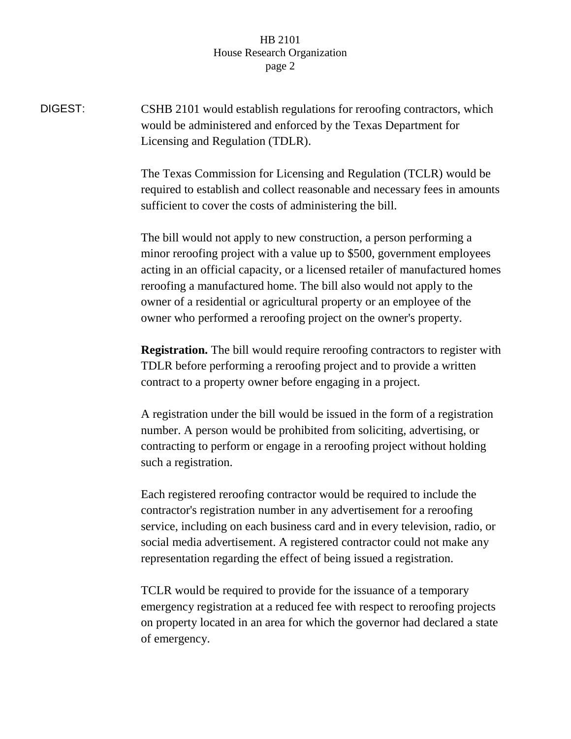DIGEST: CSHB 2101 would establish regulations for reroofing contractors, which would be administered and enforced by the Texas Department for Licensing and Regulation (TDLR).

> The Texas Commission for Licensing and Regulation (TCLR) would be required to establish and collect reasonable and necessary fees in amounts sufficient to cover the costs of administering the bill.

> The bill would not apply to new construction, a person performing a minor reroofing project with a value up to \$500, government employees acting in an official capacity, or a licensed retailer of manufactured homes reroofing a manufactured home. The bill also would not apply to the owner of a residential or agricultural property or an employee of the owner who performed a reroofing project on the owner's property.

> **Registration.** The bill would require reroofing contractors to register with TDLR before performing a reroofing project and to provide a written contract to a property owner before engaging in a project.

A registration under the bill would be issued in the form of a registration number. A person would be prohibited from soliciting, advertising, or contracting to perform or engage in a reroofing project without holding such a registration.

Each registered reroofing contractor would be required to include the contractor's registration number in any advertisement for a reroofing service, including on each business card and in every television, radio, or social media advertisement. A registered contractor could not make any representation regarding the effect of being issued a registration.

TCLR would be required to provide for the issuance of a temporary emergency registration at a reduced fee with respect to reroofing projects on property located in an area for which the governor had declared a state of emergency.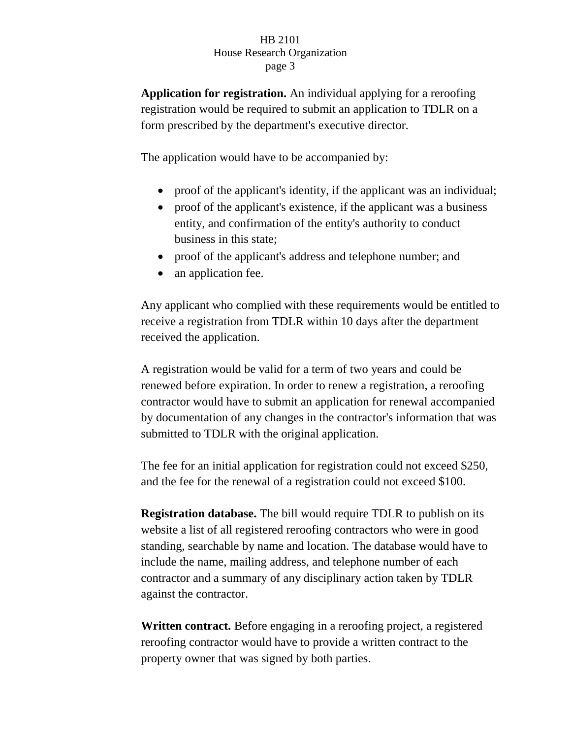**Application for registration.** An individual applying for a reroofing registration would be required to submit an application to TDLR on a form prescribed by the department's executive director.

The application would have to be accompanied by:

- proof of the applicant's identity, if the applicant was an individual;
- proof of the applicant's existence, if the applicant was a business entity, and confirmation of the entity's authority to conduct business in this state;
- proof of the applicant's address and telephone number; and
- an application fee.

Any applicant who complied with these requirements would be entitled to receive a registration from TDLR within 10 days after the department received the application.

A registration would be valid for a term of two years and could be renewed before expiration. In order to renew a registration, a reroofing contractor would have to submit an application for renewal accompanied by documentation of any changes in the contractor's information that was submitted to TDLR with the original application.

The fee for an initial application for registration could not exceed \$250, and the fee for the renewal of a registration could not exceed \$100.

**Registration database.** The bill would require TDLR to publish on its website a list of all registered reroofing contractors who were in good standing, searchable by name and location. The database would have to include the name, mailing address, and telephone number of each contractor and a summary of any disciplinary action taken by TDLR against the contractor.

**Written contract.** Before engaging in a reroofing project, a registered reroofing contractor would have to provide a written contract to the property owner that was signed by both parties.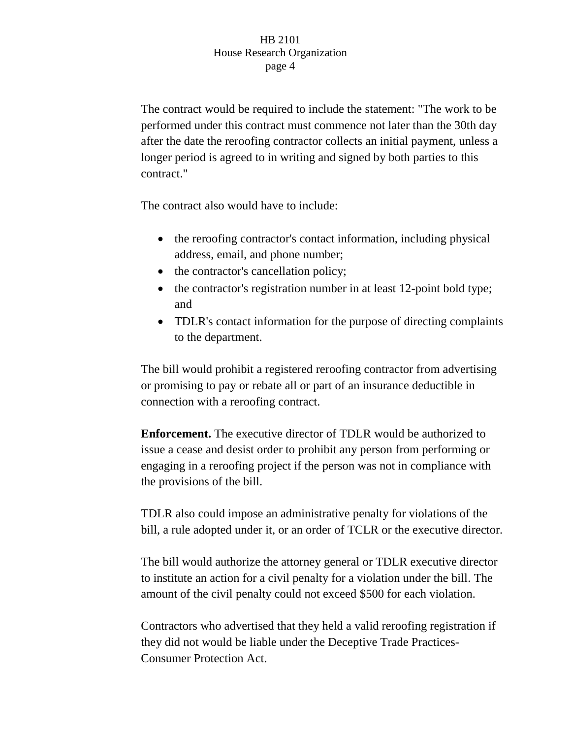The contract would be required to include the statement: "The work to be performed under this contract must commence not later than the 30th day after the date the reroofing contractor collects an initial payment, unless a longer period is agreed to in writing and signed by both parties to this contract."

The contract also would have to include:

- the reroofing contractor's contact information, including physical address, email, and phone number;
- the contractor's cancellation policy;
- the contractor's registration number in at least 12-point bold type; and
- TDLR's contact information for the purpose of directing complaints to the department.

The bill would prohibit a registered reroofing contractor from advertising or promising to pay or rebate all or part of an insurance deductible in connection with a reroofing contract.

**Enforcement.** The executive director of TDLR would be authorized to issue a cease and desist order to prohibit any person from performing or engaging in a reroofing project if the person was not in compliance with the provisions of the bill.

TDLR also could impose an administrative penalty for violations of the bill, a rule adopted under it, or an order of TCLR or the executive director.

The bill would authorize the attorney general or TDLR executive director to institute an action for a civil penalty for a violation under the bill. The amount of the civil penalty could not exceed \$500 for each violation.

Contractors who advertised that they held a valid reroofing registration if they did not would be liable under the Deceptive Trade Practices-Consumer Protection Act.